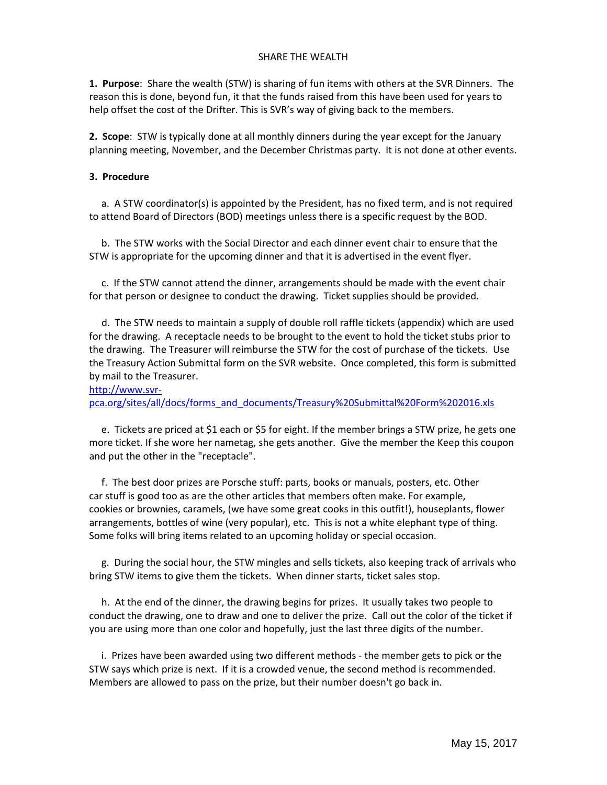## SHARE THE WEALTH

**1. Purpose**: Share the wealth (STW) is sharing of fun items with others at the SVR Dinners. The reason this is done, beyond fun, it that the funds raised from this have been used for years to help offset the cost of the Drifter. This is SVR's way of giving back to the members.

**2. Scope**: STW is typically done at all monthly dinners during the year except for the January planning meeting, November, and the December Christmas party. It is not done at other events.

## **3. Procedure**

 a. A STW coordinator(s) is appointed by the President, has no fixed term, and is not required to attend Board of Directors (BOD) meetings unless there is a specific request by the BOD.

 b. The STW works with the Social Director and each dinner event chair to ensure that the STW is appropriate for the upcoming dinner and that it is advertised in the event flyer.

 c. If the STW cannot attend the dinner, arrangements should be made with the event chair for that person or designee to conduct the drawing. Ticket supplies should be provided.

 d. The STW needs to maintain a supply of double roll raffle tickets (appendix) which are used for the drawing. A receptacle needs to be brought to the event to hold the ticket stubs prior to the drawing. The Treasurer will reimburse the STW for the cost of purchase of the tickets. Use the Treasury Action Submittal form on the SVR website. Once completed, this form is submitted by mail to the Treasurer.

[http://www.svr](http://www.svr-pca.org/sites/all/docs/forms_and_documents/Treasury%20Submittal%20Form%202016.xls)‐

[pca.org/sites/all/docs/forms\\_and\\_documents/Treasury%20Submittal%20Form%202016.xls](http://www.svr-pca.org/sites/all/docs/forms_and_documents/Treasury%20Submittal%20Form%202016.xls)

e. Tickets are priced at \$1 each or \$5 for eight. If the member brings a STW prize, he gets one more ticket. If she wore her nametag, she gets another. Give the member the Keep this coupon and put the other in the "receptacle".

 f. The best door prizes are Porsche stuff: parts, books or manuals, posters, etc. Other car stuff is good too as are the other articles that members often make. For example, cookies or brownies, caramels, (we have some great cooks in this outfit!), houseplants, flower arrangements, bottles of wine (very popular), etc. This is not a white elephant type of thing. Some folks will bring items related to an upcoming holiday or special occasion.

 g. During the social hour, the STW mingles and sells tickets, also keeping track of arrivals who bring STW items to give them the tickets. When dinner starts, ticket sales stop.

 h. At the end of the dinner, the drawing begins for prizes. It usually takes two people to conduct the drawing, one to draw and one to deliver the prize. Call out the color of the ticket if you are using more than one color and hopefully, just the last three digits of the number.

 i. Prizes have been awarded using two different methods ‐ the member gets to pick or the STW says which prize is next. If it is a crowded venue, the second method is recommended. Members are allowed to pass on the prize, but their number doesn't go back in.